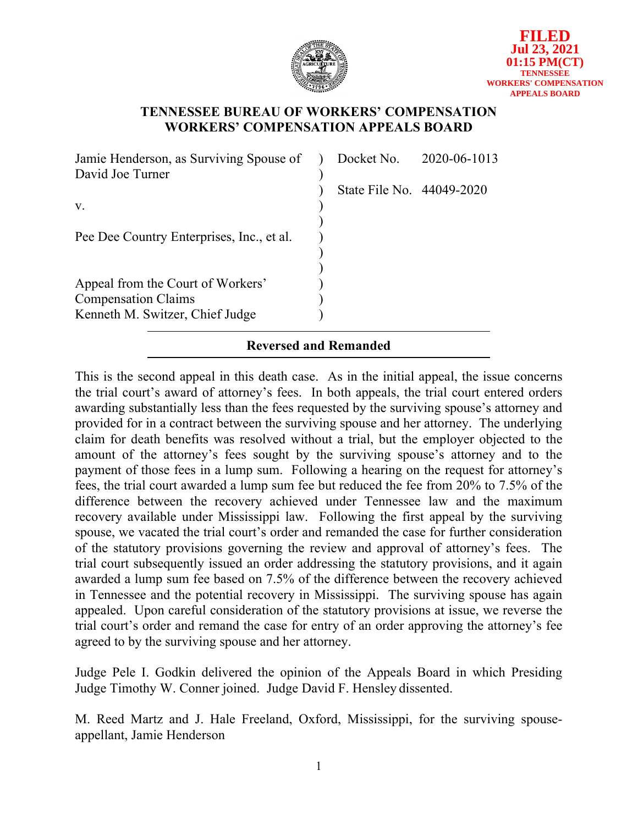

### **TENNESSEE BUREAU OF WORKERS' COMPENSATION WORKERS' COMPENSATION APPEALS BOARD**

| Jamie Henderson, as Surviving Spouse of   |                           | Docket No. 2020-06-1013 |
|-------------------------------------------|---------------------------|-------------------------|
| David Joe Turner                          |                           |                         |
|                                           | State File No. 44049-2020 |                         |
| V.                                        |                           |                         |
|                                           |                           |                         |
| Pee Dee Country Enterprises, Inc., et al. |                           |                         |
|                                           |                           |                         |
|                                           |                           |                         |
| Appeal from the Court of Workers'         |                           |                         |
| <b>Compensation Claims</b>                |                           |                         |
| Kenneth M. Switzer, Chief Judge           |                           |                         |
| <b>Reversed and Remanded</b>              |                           |                         |

This is the second appeal in this death case. As in the initial appeal, the issue concerns the trial court's award of attorney's fees. In both appeals, the trial court entered orders awarding substantially less than the fees requested by the surviving spouse's attorney and provided for in a contract between the surviving spouse and her attorney. The underlying claim for death benefits was resolved without a trial, but the employer objected to the amount of the attorney's fees sought by the surviving spouse's attorney and to the payment of those fees in a lump sum. Following a hearing on the request for attorney's fees, the trial court awarded a lump sum fee but reduced the fee from 20% to 7.5% of the difference between the recovery achieved under Tennessee law and the maximum recovery available under Mississippi law. Following the first appeal by the surviving spouse, we vacated the trial court's order and remanded the case for further consideration of the statutory provisions governing the review and approval of attorney's fees. The trial court subsequently issued an order addressing the statutory provisions, and it again awarded a lump sum fee based on 7.5% of the difference between the recovery achieved in Tennessee and the potential recovery in Mississippi. The surviving spouse has again appealed. Upon careful consideration of the statutory provisions at issue, we reverse the trial court's order and remand the case for entry of an order approving the attorney's fee agreed to by the surviving spouse and her attorney.

Judge Pele I. Godkin delivered the opinion of the Appeals Board in which Presiding Judge Timothy W. Conner joined. Judge David F. Hensley dissented.

M. Reed Martz and J. Hale Freeland, Oxford, Mississippi, for the surviving spouseappellant, Jamie Henderson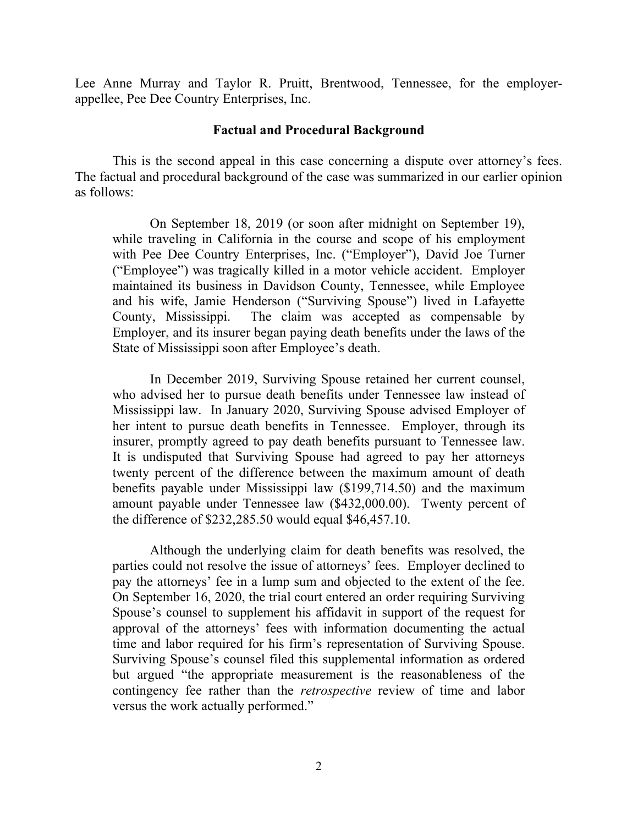Lee Anne Murray and Taylor R. Pruitt, Brentwood, Tennessee, for the employerappellee, Pee Dee Country Enterprises, Inc.

#### **Factual and Procedural Background**

This is the second appeal in this case concerning a dispute over attorney's fees. The factual and procedural background of the case was summarized in our earlier opinion as follows:

On September 18, 2019 (or soon after midnight on September 19), while traveling in California in the course and scope of his employment with Pee Dee Country Enterprises, Inc. ("Employer"), David Joe Turner ("Employee") was tragically killed in a motor vehicle accident. Employer maintained its business in Davidson County, Tennessee, while Employee and his wife, Jamie Henderson ("Surviving Spouse") lived in Lafayette County, Mississippi. The claim was accepted as compensable by Employer, and its insurer began paying death benefits under the laws of the State of Mississippi soon after Employee's death.

In December 2019, Surviving Spouse retained her current counsel, who advised her to pursue death benefits under Tennessee law instead of Mississippi law. In January 2020, Surviving Spouse advised Employer of her intent to pursue death benefits in Tennessee. Employer, through its insurer, promptly agreed to pay death benefits pursuant to Tennessee law. It is undisputed that Surviving Spouse had agreed to pay her attorneys twenty percent of the difference between the maximum amount of death benefits payable under Mississippi law (\$199,714.50) and the maximum amount payable under Tennessee law (\$432,000.00). Twenty percent of the difference of \$232,285.50 would equal \$46,457.10.

Although the underlying claim for death benefits was resolved, the parties could not resolve the issue of attorneys' fees. Employer declined to pay the attorneys' fee in a lump sum and objected to the extent of the fee. On September 16, 2020, the trial court entered an order requiring Surviving Spouse's counsel to supplement his affidavit in support of the request for approval of the attorneys' fees with information documenting the actual time and labor required for his firm's representation of Surviving Spouse. Surviving Spouse's counsel filed this supplemental information as ordered but argued "the appropriate measurement is the reasonableness of the contingency fee rather than the *retrospective* review of time and labor versus the work actually performed."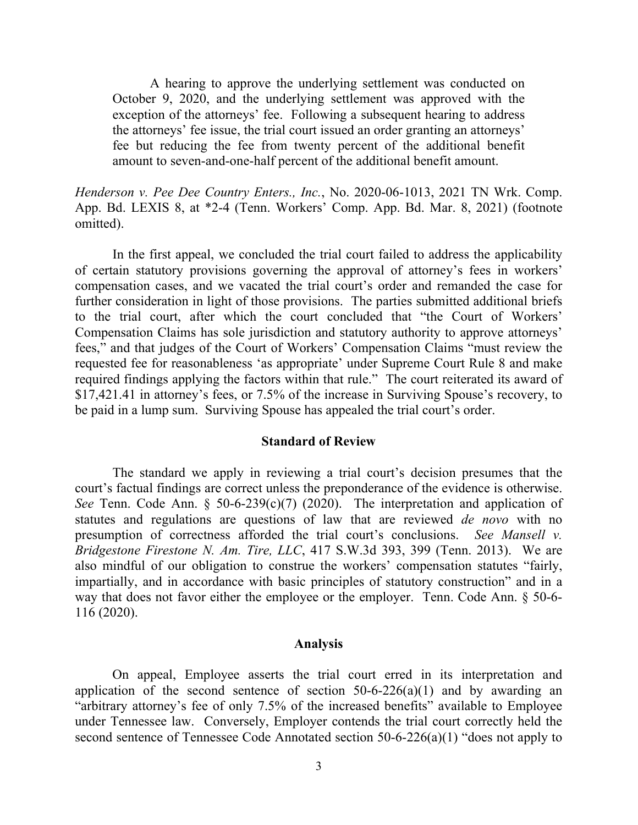A hearing to approve the underlying settlement was conducted on October 9, 2020, and the underlying settlement was approved with the exception of the attorneys' fee. Following a subsequent hearing to address the attorneys' fee issue, the trial court issued an order granting an attorneys' fee but reducing the fee from twenty percent of the additional benefit amount to seven-and-one-half percent of the additional benefit amount.

*Henderson v. Pee Dee Country Enters., Inc.*, No. 2020-06-1013, 2021 TN Wrk. Comp. App. Bd. LEXIS 8, at \*2-4 (Tenn. Workers' Comp. App. Bd. Mar. 8, 2021) (footnote omitted).

In the first appeal, we concluded the trial court failed to address the applicability of certain statutory provisions governing the approval of attorney's fees in workers' compensation cases, and we vacated the trial court's order and remanded the case for further consideration in light of those provisions. The parties submitted additional briefs to the trial court, after which the court concluded that "the Court of Workers' Compensation Claims has sole jurisdiction and statutory authority to approve attorneys' fees," and that judges of the Court of Workers' Compensation Claims "must review the requested fee for reasonableness 'as appropriate' under Supreme Court Rule 8 and make required findings applying the factors within that rule." The court reiterated its award of \$17,421.41 in attorney's fees, or 7.5% of the increase in Surviving Spouse's recovery, to be paid in a lump sum. Surviving Spouse has appealed the trial court's order.

#### **Standard of Review**

The standard we apply in reviewing a trial court's decision presumes that the court's factual findings are correct unless the preponderance of the evidence is otherwise. *See* Tenn. Code Ann. § 50-6-239(c)(7) (2020). The interpretation and application of statutes and regulations are questions of law that are reviewed *de novo* with no presumption of correctness afforded the trial court's conclusions. *See Mansell v. Bridgestone Firestone N. Am. Tire, LLC*, 417 S.W.3d 393, 399 (Tenn. 2013). We are also mindful of our obligation to construe the workers' compensation statutes "fairly, impartially, and in accordance with basic principles of statutory construction" and in a way that does not favor either the employee or the employer. Tenn. Code Ann. § 50-6- 116 (2020).

#### **Analysis**

On appeal, Employee asserts the trial court erred in its interpretation and application of the second sentence of section  $50-6-226(a)(1)$  and by awarding an "arbitrary attorney's fee of only 7.5% of the increased benefits" available to Employee under Tennessee law. Conversely, Employer contends the trial court correctly held the second sentence of Tennessee Code Annotated section 50-6-226(a)(1) "does not apply to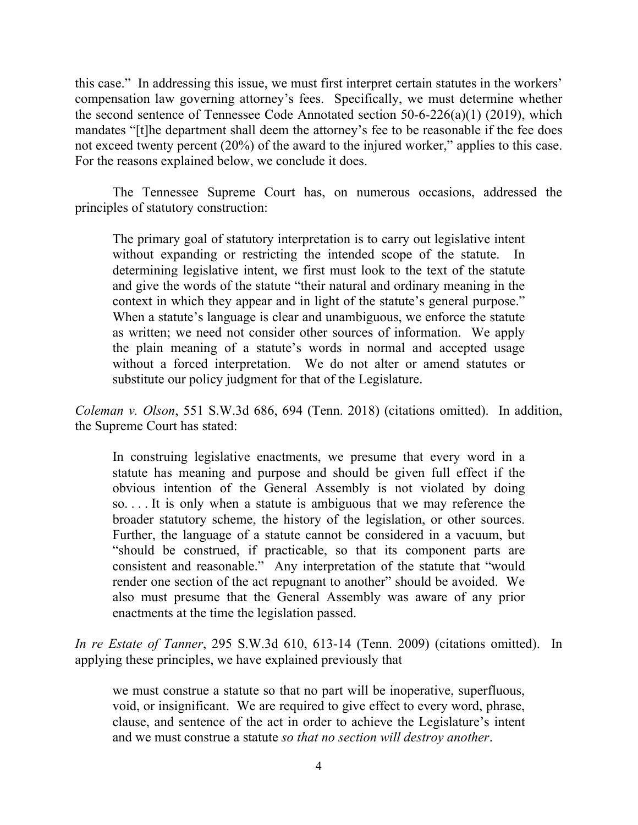this case." In addressing this issue, we must first interpret certain statutes in the workers' compensation law governing attorney's fees. Specifically, we must determine whether the second sentence of Tennessee Code Annotated section 50-6-226(a)(1) (2019), which mandates "[t]he department shall deem the attorney's fee to be reasonable if the fee does not exceed twenty percent (20%) of the award to the injured worker," applies to this case. For the reasons explained below, we conclude it does.

The Tennessee Supreme Court has, on numerous occasions, addressed the principles of statutory construction:

The primary goal of statutory interpretation is to carry out legislative intent without expanding or restricting the intended scope of the statute. In determining legislative intent, we first must look to the text of the statute and give the words of the statute "their natural and ordinary meaning in the context in which they appear and in light of the statute's general purpose." When a statute's language is clear and unambiguous, we enforce the statute as written; we need not consider other sources of information. We apply the plain meaning of a statute's words in normal and accepted usage without a forced interpretation. We do not alter or amend statutes or substitute our policy judgment for that of the Legislature.

*Coleman v. Olson*, 551 S.W.3d 686, 694 (Tenn. 2018) (citations omitted). In addition, the Supreme Court has stated:

In construing legislative enactments, we presume that every word in a statute has meaning and purpose and should be given full effect if the obvious intention of the General Assembly is not violated by doing so. . . . It is only when a statute is ambiguous that we may reference the broader statutory scheme, the history of the legislation, or other sources. Further, the language of a statute cannot be considered in a vacuum, but "should be construed, if practicable, so that its component parts are consistent and reasonable." Any interpretation of the statute that "would render one section of the act repugnant to another" should be avoided. We also must presume that the General Assembly was aware of any prior enactments at the time the legislation passed.

*In re Estate of Tanner*, 295 S.W.3d 610, 613-14 (Tenn. 2009) (citations omitted). In applying these principles, we have explained previously that

we must construe a statute so that no part will be inoperative, superfluous, void, or insignificant. We are required to give effect to every word, phrase, clause, and sentence of the act in order to achieve the Legislature's intent and we must construe a statute *so that no section will destroy another*.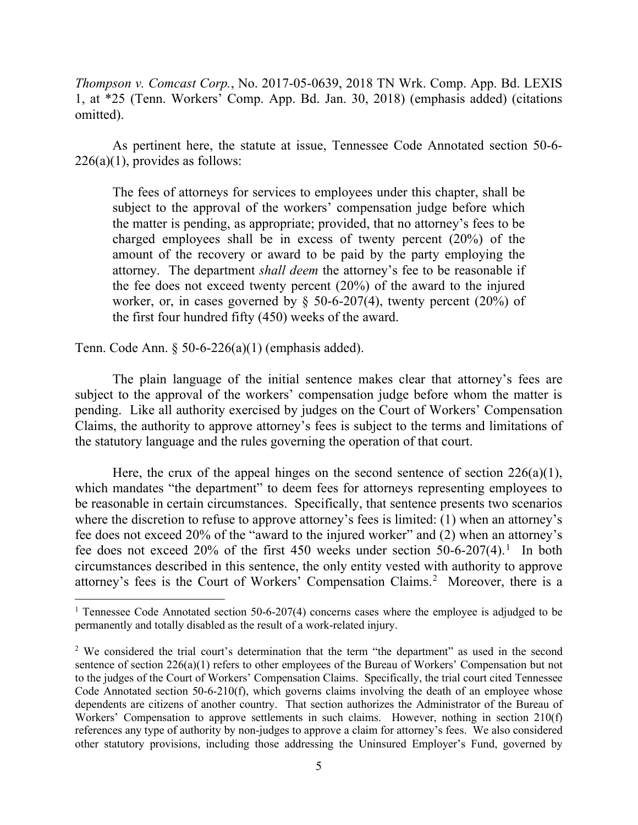*Thompson v. Comcast Corp.*, No. 2017-05-0639, 2018 TN Wrk. Comp. App. Bd. LEXIS 1, at \*25 (Tenn. Workers' Comp. App. Bd. Jan. 30, 2018) (emphasis added) (citations omitted).

As pertinent here, the statute at issue, Tennessee Code Annotated section 50-6-  $226(a)(1)$ , provides as follows:

The fees of attorneys for services to employees under this chapter, shall be subject to the approval of the workers' compensation judge before which the matter is pending, as appropriate; provided, that no attorney's fees to be charged employees shall be in excess of twenty percent (20%) of the amount of the recovery or award to be paid by the party employing the attorney. The department *shall deem* the attorney's fee to be reasonable if the fee does not exceed twenty percent (20%) of the award to the injured worker, or, in cases governed by  $\S$  50-6-207(4), twenty percent (20%) of the first four hundred fifty (450) weeks of the award.

Tenn. Code Ann. § 50-6-226(a)(1) (emphasis added).

The plain language of the initial sentence makes clear that attorney's fees are subject to the approval of the workers' compensation judge before whom the matter is pending. Like all authority exercised by judges on the Court of Workers' Compensation Claims, the authority to approve attorney's fees is subject to the terms and limitations of the statutory language and the rules governing the operation of that court.

Here, the crux of the appeal hinges on the second sentence of section  $226(a)(1)$ , which mandates "the department" to deem fees for attorneys representing employees to be reasonable in certain circumstances. Specifically, that sentence presents two scenarios where the discretion to refuse to approve attorney's fees is limited: (1) when an attorney's fee does not exceed 20% of the "award to the injured worker" and (2) when an attorney's fee does not exceed 20% of the first 450 weeks under section 50-6-207(4).<sup>[1](#page-4-0)</sup> In both circumstances described in this sentence, the only entity vested with authority to approve attorney's fees is the Court of Workers' Compensation Claims.<sup>[2](#page-4-1)</sup> Moreover, there is a

<span id="page-4-0"></span><sup>&</sup>lt;sup>1</sup> Tennessee Code Annotated section 50-6-207(4) concerns cases where the employee is adjudged to be permanently and totally disabled as the result of a work-related injury.

<span id="page-4-1"></span><sup>&</sup>lt;sup>2</sup> We considered the trial court's determination that the term "the department" as used in the second sentence of section 226(a)(1) refers to other employees of the Bureau of Workers' Compensation but not to the judges of the Court of Workers' Compensation Claims. Specifically, the trial court cited Tennessee Code Annotated section 50-6-210(f), which governs claims involving the death of an employee whose dependents are citizens of another country. That section authorizes the Administrator of the Bureau of Workers' Compensation to approve settlements in such claims. However, nothing in section 210(f) references any type of authority by non-judges to approve a claim for attorney's fees. We also considered other statutory provisions, including those addressing the Uninsured Employer's Fund, governed by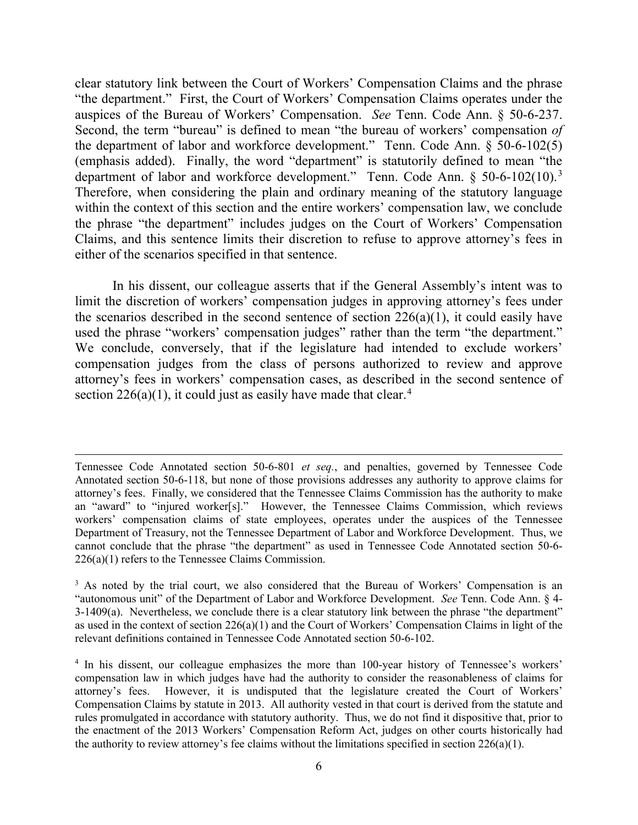clear statutory link between the Court of Workers' Compensation Claims and the phrase "the department." First, the Court of Workers' Compensation Claims operates under the auspices of the Bureau of Workers' Compensation. *See* Tenn. Code Ann. § 50-6-237. Second, the term "bureau" is defined to mean "the bureau of workers' compensation *of* the department of labor and workforce development." Tenn. Code Ann. § 50-6-102(5) (emphasis added). Finally, the word "department" is statutorily defined to mean "the department of labor and workforce development." Tenn. Code Ann.  $\S$  50-6-102(10).<sup>[3](#page-5-0)</sup> Therefore, when considering the plain and ordinary meaning of the statutory language within the context of this section and the entire workers' compensation law, we conclude the phrase "the department" includes judges on the Court of Workers' Compensation Claims, and this sentence limits their discretion to refuse to approve attorney's fees in either of the scenarios specified in that sentence.

In his dissent, our colleague asserts that if the General Assembly's intent was to limit the discretion of workers' compensation judges in approving attorney's fees under the scenarios described in the second sentence of section  $226(a)(1)$ , it could easily have used the phrase "workers' compensation judges" rather than the term "the department." We conclude, conversely, that if the legislature had intended to exclude workers' compensation judges from the class of persons authorized to review and approve attorney's fees in workers' compensation cases, as described in the second sentence of section  $226(a)(1)$ , it could just as easily have made that clear.<sup>[4](#page-5-1)</sup>

Tennessee Code Annotated section 50-6-801 *et seq.*, and penalties, governed by Tennessee Code Annotated section 50-6-118, but none of those provisions addresses any authority to approve claims for attorney's fees. Finally, we considered that the Tennessee Claims Commission has the authority to make an "award" to "injured worker[s]." However, the Tennessee Claims Commission, which reviews workers' compensation claims of state employees, operates under the auspices of the Tennessee Department of Treasury, not the Tennessee Department of Labor and Workforce Development. Thus, we cannot conclude that the phrase "the department" as used in Tennessee Code Annotated section 50-6- 226(a)(1) refers to the Tennessee Claims Commission.

<span id="page-5-0"></span> $3$  As noted by the trial court, we also considered that the Bureau of Workers' Compensation is an "autonomous unit" of the Department of Labor and Workforce Development. *See* Tenn. Code Ann. § 4- 3-1409(a). Nevertheless, we conclude there is a clear statutory link between the phrase "the department" as used in the context of section 226(a)(1) and the Court of Workers' Compensation Claims in light of the relevant definitions contained in Tennessee Code Annotated section 50-6-102.

<span id="page-5-1"></span><sup>&</sup>lt;sup>4</sup> In his dissent, our colleague emphasizes the more than 100-year history of Tennessee's workers' compensation law in which judges have had the authority to consider the reasonableness of claims for attorney's fees. However, it is undisputed that the legislature created the Court of Workers' Compensation Claims by statute in 2013. All authority vested in that court is derived from the statute and rules promulgated in accordance with statutory authority. Thus, we do not find it dispositive that, prior to the enactment of the 2013 Workers' Compensation Reform Act, judges on other courts historically had the authority to review attorney's fee claims without the limitations specified in section 226(a)(1).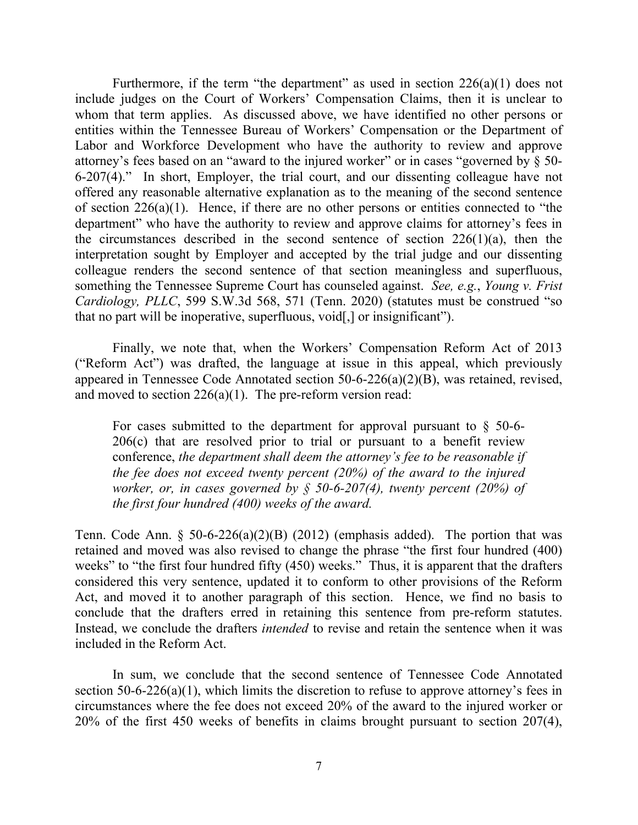Furthermore, if the term "the department" as used in section  $226(a)(1)$  does not include judges on the Court of Workers' Compensation Claims, then it is unclear to whom that term applies. As discussed above, we have identified no other persons or entities within the Tennessee Bureau of Workers' Compensation or the Department of Labor and Workforce Development who have the authority to review and approve attorney's fees based on an "award to the injured worker" or in cases "governed by § 50- 6-207(4)." In short, Employer, the trial court, and our dissenting colleague have not offered any reasonable alternative explanation as to the meaning of the second sentence of section  $226(a)(1)$ . Hence, if there are no other persons or entities connected to "the department" who have the authority to review and approve claims for attorney's fees in the circumstances described in the second sentence of section  $226(1)(a)$ , then the interpretation sought by Employer and accepted by the trial judge and our dissenting colleague renders the second sentence of that section meaningless and superfluous, something the Tennessee Supreme Court has counseled against. *See, e.g.*, *Young v. Frist Cardiology, PLLC*, 599 S.W.3d 568, 571 (Tenn. 2020) (statutes must be construed "so that no part will be inoperative, superfluous, void[,] or insignificant").

Finally, we note that, when the Workers' Compensation Reform Act of 2013 ("Reform Act") was drafted, the language at issue in this appeal, which previously appeared in Tennessee Code Annotated section 50-6-226(a)(2)(B), was retained, revised, and moved to section  $226(a)(1)$ . The pre-reform version read:

For cases submitted to the department for approval pursuant to  $\S$  50-6-206(c) that are resolved prior to trial or pursuant to a benefit review conference, *the department shall deem the attorney's fee to be reasonable if the fee does not exceed twenty percent (20%) of the award to the injured worker, or, in cases governed by § 50-6-207(4), twenty percent (20%) of the first four hundred (400) weeks of the award.*

Tenn. Code Ann.  $\S$  50-6-226(a)(2)(B) (2012) (emphasis added). The portion that was retained and moved was also revised to change the phrase "the first four hundred (400) weeks" to "the first four hundred fifty (450) weeks." Thus, it is apparent that the drafters considered this very sentence, updated it to conform to other provisions of the Reform Act, and moved it to another paragraph of this section. Hence, we find no basis to conclude that the drafters erred in retaining this sentence from pre-reform statutes. Instead, we conclude the drafters *intended* to revise and retain the sentence when it was included in the Reform Act.

In sum, we conclude that the second sentence of Tennessee Code Annotated section 50-6-226(a)(1), which limits the discretion to refuse to approve attorney's fees in circumstances where the fee does not exceed 20% of the award to the injured worker or 20% of the first 450 weeks of benefits in claims brought pursuant to section 207(4),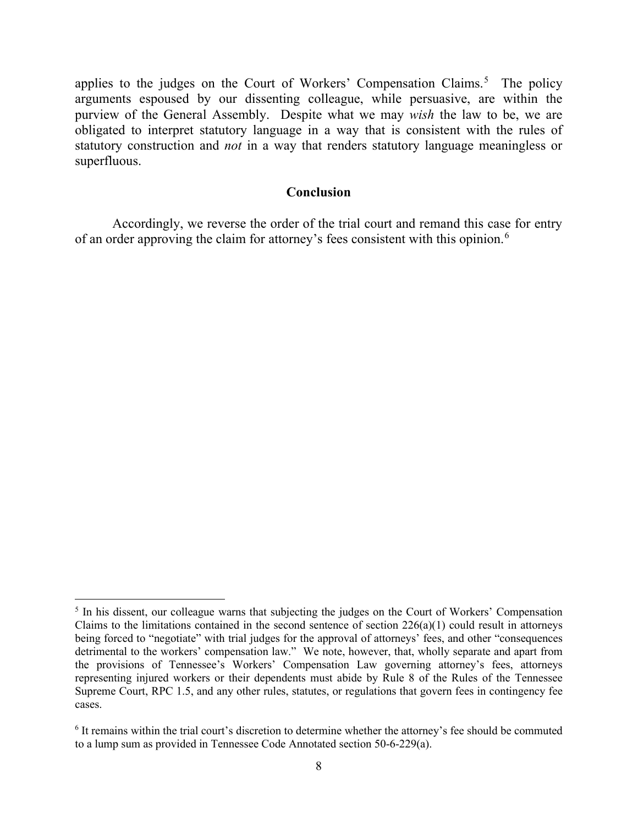applies to the judges on the Court of Workers' Compensation Claims.<sup>[5](#page-7-0)</sup> The policy arguments espoused by our dissenting colleague, while persuasive, are within the purview of the General Assembly. Despite what we may *wish* the law to be, we are obligated to interpret statutory language in a way that is consistent with the rules of statutory construction and *not* in a way that renders statutory language meaningless or superfluous.

#### **Conclusion**

Accordingly, we reverse the order of the trial court and remand this case for entry of an order approving the claim for attorney's fees consistent with this opinion.<sup>[6](#page-7-1)</sup>

<span id="page-7-0"></span><sup>&</sup>lt;sup>5</sup> In his dissent, our colleague warns that subjecting the judges on the Court of Workers' Compensation Claims to the limitations contained in the second sentence of section  $226(a)(1)$  could result in attorneys being forced to "negotiate" with trial judges for the approval of attorneys' fees, and other "consequences detrimental to the workers' compensation law." We note, however, that, wholly separate and apart from the provisions of Tennessee's Workers' Compensation Law governing attorney's fees, attorneys representing injured workers or their dependents must abide by Rule 8 of the Rules of the Tennessee Supreme Court, RPC 1.5, and any other rules, statutes, or regulations that govern fees in contingency fee cases.

<span id="page-7-1"></span><sup>6</sup> It remains within the trial court's discretion to determine whether the attorney's fee should be commuted to a lump sum as provided in Tennessee Code Annotated section 50-6-229(a).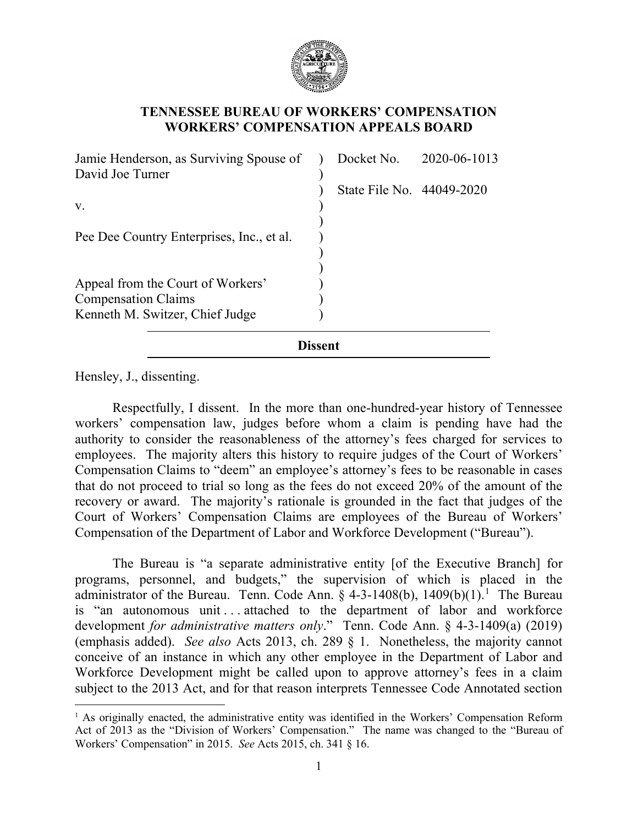

## **TENNESSEE BUREAU OF WORKERS' COMPENSATION WORKERS' COMPENSATION APPEALS BOARD**

| Jamie Henderson, as Surviving Spouse of<br>David Joe Turner |         | Docket No. 2020-06-1013   |  |  |  |  |
|-------------------------------------------------------------|---------|---------------------------|--|--|--|--|
|                                                             |         | State File No. 44049-2020 |  |  |  |  |
| V.                                                          |         |                           |  |  |  |  |
| Pee Dee Country Enterprises, Inc., et al.                   |         |                           |  |  |  |  |
| Appeal from the Court of Workers'                           |         |                           |  |  |  |  |
| <b>Compensation Claims</b>                                  |         |                           |  |  |  |  |
| Kenneth M. Switzer, Chief Judge                             |         |                           |  |  |  |  |
|                                                             | Dissent |                           |  |  |  |  |

Hensley, J., dissenting.

Respectfully, I dissent. In the more than one-hundred-year history of Tennessee workers' compensation law, judges before whom a claim is pending have had the authority to consider the reasonableness of the attorney's fees charged for services to employees. The majority alters this history to require judges of the Court of Workers' Compensation Claims to "deem" an employee's attorney's fees to be reasonable in cases that do not proceed to trial so long as the fees do not exceed 20% of the amount of the recovery or award. The majority's rationale is grounded in the fact that judges of the Court of Workers' Compensation Claims are employees of the Bureau of Workers' Compensation of the Department of Labor and Workforce Development ("Bureau").

The Bureau is "a separate administrative entity [of the Executive Branch] for programs, personnel, and budgets," the supervision of which is placed in the administrator of the Bureau. Tenn. Code Ann.  $\S$  4-3-[1](#page-8-0)408(b), 1409(b)(1).<sup>1</sup> The Bureau is "an autonomous unit . . . attached to the department of labor and workforce development *for administrative matters only*." Tenn. Code Ann. § 4-3-1409(a) (2019) (emphasis added). *See also* Acts 2013, ch. 289 § 1. Nonetheless, the majority cannot conceive of an instance in which any other employee in the Department of Labor and Workforce Development might be called upon to approve attorney's fees in a claim subject to the 2013 Act, and for that reason interprets Tennessee Code Annotated section

<span id="page-8-0"></span><sup>&</sup>lt;sup>1</sup> As originally enacted, the administrative entity was identified in the Workers' Compensation Reform Act of 2013 as the "Division of Workers' Compensation." The name was changed to the "Bureau of Workers' Compensation" in 2015. *See* Acts 2015, ch. 341 § 16.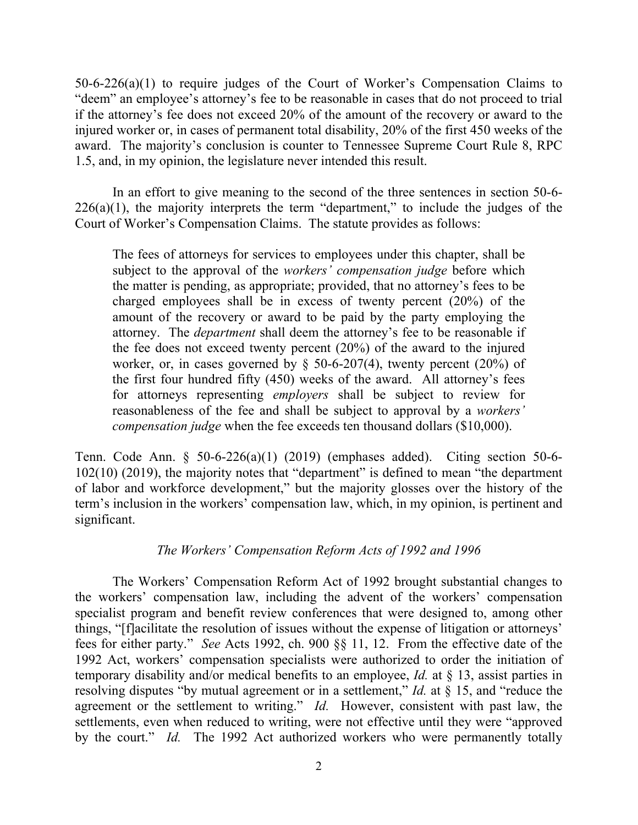50-6-226(a)(1) to require judges of the Court of Worker's Compensation Claims to "deem" an employee's attorney's fee to be reasonable in cases that do not proceed to trial if the attorney's fee does not exceed 20% of the amount of the recovery or award to the injured worker or, in cases of permanent total disability, 20% of the first 450 weeks of the award. The majority's conclusion is counter to Tennessee Supreme Court Rule 8, RPC 1.5, and, in my opinion, the legislature never intended this result.

In an effort to give meaning to the second of the three sentences in section 50-6-  $226(a)(1)$ , the majority interprets the term "department," to include the judges of the Court of Worker's Compensation Claims. The statute provides as follows:

The fees of attorneys for services to employees under this chapter, shall be subject to the approval of the *workers' compensation judge* before which the matter is pending, as appropriate; provided, that no attorney's fees to be charged employees shall be in excess of twenty percent (20%) of the amount of the recovery or award to be paid by the party employing the attorney. The *department* shall deem the attorney's fee to be reasonable if the fee does not exceed twenty percent (20%) of the award to the injured worker, or, in cases governed by  $\S$  50-6-207(4), twenty percent (20%) of the first four hundred fifty (450) weeks of the award. All attorney's fees for attorneys representing *employers* shall be subject to review for reasonableness of the fee and shall be subject to approval by a *workers' compensation judge* when the fee exceeds ten thousand dollars (\$10,000).

Tenn. Code Ann. § 50-6-226(a)(1) (2019) (emphases added). Citing section 50-6- 102(10) (2019), the majority notes that "department" is defined to mean "the department of labor and workforce development," but the majority glosses over the history of the term's inclusion in the workers' compensation law, which, in my opinion, is pertinent and significant.

### *The Workers' Compensation Reform Acts of 1992 and 1996*

The Workers' Compensation Reform Act of 1992 brought substantial changes to the workers' compensation law, including the advent of the workers' compensation specialist program and benefit review conferences that were designed to, among other things, "[f]acilitate the resolution of issues without the expense of litigation or attorneys' fees for either party." *See* Acts 1992, ch. 900 §§ 11, 12. From the effective date of the 1992 Act, workers' compensation specialists were authorized to order the initiation of temporary disability and/or medical benefits to an employee, *Id.* at § 13, assist parties in resolving disputes "by mutual agreement or in a settlement," *Id.* at § 15, and "reduce the agreement or the settlement to writing." *Id.* However, consistent with past law, the settlements, even when reduced to writing, were not effective until they were "approved by the court." *Id.* The 1992 Act authorized workers who were permanently totally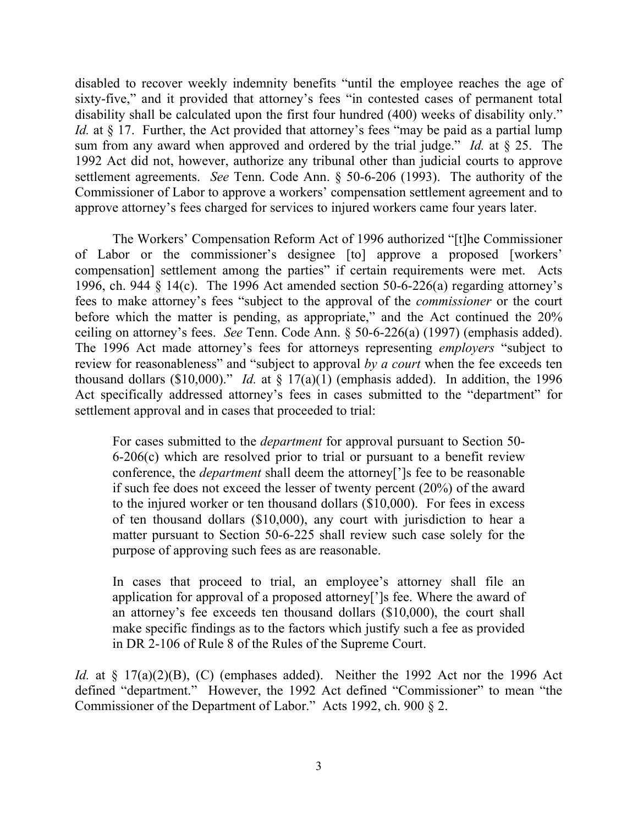disabled to recover weekly indemnity benefits "until the employee reaches the age of sixty-five," and it provided that attorney's fees "in contested cases of permanent total disability shall be calculated upon the first four hundred (400) weeks of disability only." *Id.* at § 17. Further, the Act provided that attorney's fees "may be paid as a partial lump sum from any award when approved and ordered by the trial judge." *Id.* at § 25. The 1992 Act did not, however, authorize any tribunal other than judicial courts to approve settlement agreements. *See* Tenn. Code Ann. § 50-6-206 (1993). The authority of the Commissioner of Labor to approve a workers' compensation settlement agreement and to approve attorney's fees charged for services to injured workers came four years later.

The Workers' Compensation Reform Act of 1996 authorized "[t]he Commissioner of Labor or the commissioner's designee [to] approve a proposed [workers' compensation] settlement among the parties" if certain requirements were met. Acts 1996, ch. 944 § 14(c). The 1996 Act amended section 50-6-226(a) regarding attorney's fees to make attorney's fees "subject to the approval of the *commissioner* or the court before which the matter is pending, as appropriate," and the Act continued the 20% ceiling on attorney's fees. *See* Tenn. Code Ann. § 50-6-226(a) (1997) (emphasis added). The 1996 Act made attorney's fees for attorneys representing *employers* "subject to review for reasonableness" and "subject to approval *by a court* when the fee exceeds ten thousand dollars (\$10,000)." *Id.* at § 17(a)(1) (emphasis added). In addition, the 1996 Act specifically addressed attorney's fees in cases submitted to the "department" for settlement approval and in cases that proceeded to trial:

For cases submitted to the *department* for approval pursuant to Section 50- 6-206(c) which are resolved prior to trial or pursuant to a benefit review conference, the *department* shall deem the attorney[']s fee to be reasonable if such fee does not exceed the lesser of twenty percent (20%) of the award to the injured worker or ten thousand dollars (\$10,000). For fees in excess of ten thousand dollars (\$10,000), any court with jurisdiction to hear a matter pursuant to Section 50-6-225 shall review such case solely for the purpose of approving such fees as are reasonable.

In cases that proceed to trial, an employee's attorney shall file an application for approval of a proposed attorney[']s fee. Where the award of an attorney's fee exceeds ten thousand dollars (\$10,000), the court shall make specific findings as to the factors which justify such a fee as provided in DR 2-106 of Rule 8 of the Rules of the Supreme Court.

Id. at § 17(a)(2)(B), (C) (emphases added). Neither the 1992 Act nor the 1996 Act defined "department." However, the 1992 Act defined "Commissioner" to mean "the Commissioner of the Department of Labor." Acts 1992, ch. 900 § 2.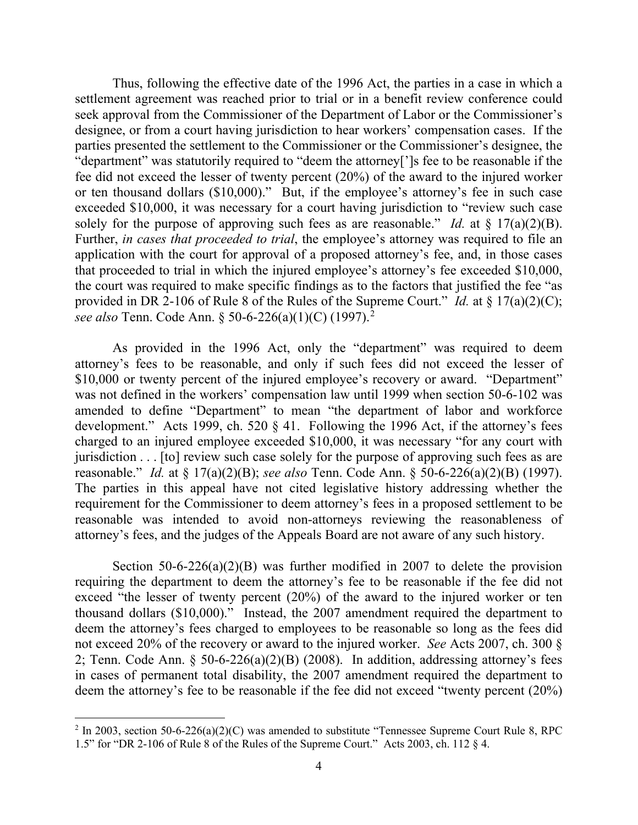Thus, following the effective date of the 1996 Act, the parties in a case in which a settlement agreement was reached prior to trial or in a benefit review conference could seek approval from the Commissioner of the Department of Labor or the Commissioner's designee, or from a court having jurisdiction to hear workers' compensation cases. If the parties presented the settlement to the Commissioner or the Commissioner's designee, the "department" was statutorily required to "deem the attorney[']s fee to be reasonable if the fee did not exceed the lesser of twenty percent (20%) of the award to the injured worker or ten thousand dollars (\$10,000)." But, if the employee's attorney's fee in such case exceeded \$10,000, it was necessary for a court having jurisdiction to "review such case solely for the purpose of approving such fees as are reasonable." *Id.* at  $\S 17(a)(2)(B)$ . Further, *in cases that proceeded to trial*, the employee's attorney was required to file an application with the court for approval of a proposed attorney's fee, and, in those cases that proceeded to trial in which the injured employee's attorney's fee exceeded \$10,000, the court was required to make specific findings as to the factors that justified the fee "as provided in DR 2-106 of Rule 8 of the Rules of the Supreme Court." *Id.* at § 17(a)(2)(C); *see also* Tenn. Code Ann. § 50-6-226(a)(1)(C) (1997). [2](#page-11-0)

As provided in the 1996 Act, only the "department" was required to deem attorney's fees to be reasonable, and only if such fees did not exceed the lesser of \$10,000 or twenty percent of the injured employee's recovery or award. "Department" was not defined in the workers' compensation law until 1999 when section 50-6-102 was amended to define "Department" to mean "the department of labor and workforce development." Acts 1999, ch. 520 § 41. Following the 1996 Act, if the attorney's fees charged to an injured employee exceeded \$10,000, it was necessary "for any court with jurisdiction . . . [to] review such case solely for the purpose of approving such fees as are reasonable." *Id.* at § 17(a)(2)(B); *see also* Tenn. Code Ann. § 50-6-226(a)(2)(B) (1997). The parties in this appeal have not cited legislative history addressing whether the requirement for the Commissioner to deem attorney's fees in a proposed settlement to be reasonable was intended to avoid non-attorneys reviewing the reasonableness of attorney's fees, and the judges of the Appeals Board are not aware of any such history.

Section 50-6-226(a)(2)(B) was further modified in 2007 to delete the provision requiring the department to deem the attorney's fee to be reasonable if the fee did not exceed "the lesser of twenty percent (20%) of the award to the injured worker or ten thousand dollars (\$10,000)." Instead, the 2007 amendment required the department to deem the attorney's fees charged to employees to be reasonable so long as the fees did not exceed 20% of the recovery or award to the injured worker. *See* Acts 2007, ch. 300 § 2; Tenn. Code Ann. § 50-6-226(a)(2)(B) (2008). In addition, addressing attorney's fees in cases of permanent total disability, the 2007 amendment required the department to deem the attorney's fee to be reasonable if the fee did not exceed "twenty percent (20%)

<span id="page-11-0"></span> $2$  In 2003, section 50-6-226(a)(2)(C) was amended to substitute "Tennessee Supreme Court Rule 8, RPC 1.5" for "DR 2-106 of Rule 8 of the Rules of the Supreme Court." Acts 2003, ch. 112 § 4.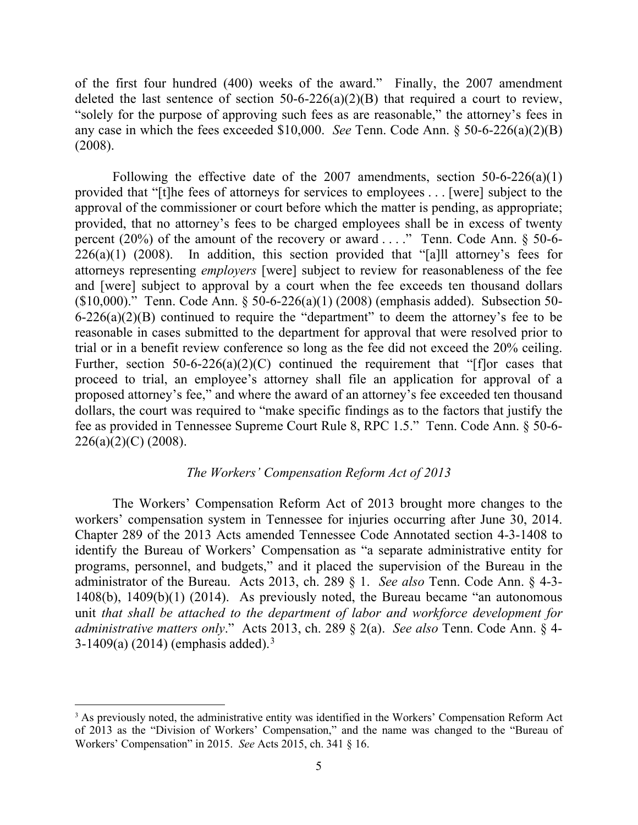of the first four hundred (400) weeks of the award." Finally, the 2007 amendment deleted the last sentence of section  $50-6-226(a)(2)(B)$  that required a court to review, "solely for the purpose of approving such fees as are reasonable," the attorney's fees in any case in which the fees exceeded \$10,000. *See* Tenn. Code Ann. § 50-6-226(a)(2)(B) (2008).

Following the effective date of the 2007 amendments, section  $50-6-226(a)(1)$ provided that "[t]he fees of attorneys for services to employees . . . [were] subject to the approval of the commissioner or court before which the matter is pending, as appropriate; provided, that no attorney's fees to be charged employees shall be in excess of twenty percent (20%) of the amount of the recovery or award . . . ." Tenn. Code Ann. § 50-6-  $226(a)(1)$  (2008). In addition, this section provided that "[a]ll attorney's fees for attorneys representing *employers* [were] subject to review for reasonableness of the fee and [were] subject to approval by a court when the fee exceeds ten thousand dollars (\$10,000)." Tenn. Code Ann. § 50-6-226(a)(1) (2008) (emphasis added). Subsection 50-  $6-226(a)(2)(B)$  continued to require the "department" to deem the attorney's fee to be reasonable in cases submitted to the department for approval that were resolved prior to trial or in a benefit review conference so long as the fee did not exceed the 20% ceiling. Further, section  $50-6-226(a)(2)(C)$  continued the requirement that "[f]or cases that proceed to trial, an employee's attorney shall file an application for approval of a proposed attorney's fee," and where the award of an attorney's fee exceeded ten thousand dollars, the court was required to "make specific findings as to the factors that justify the fee as provided in Tennessee Supreme Court Rule 8, RPC 1.5." Tenn. Code Ann. § 50-6-  $226(a)(2)(C)$  (2008).

### *The Workers' Compensation Reform Act of 2013*

The Workers' Compensation Reform Act of 2013 brought more changes to the workers' compensation system in Tennessee for injuries occurring after June 30, 2014. Chapter 289 of the 2013 Acts amended Tennessee Code Annotated section 4-3-1408 to identify the Bureau of Workers' Compensation as "a separate administrative entity for programs, personnel, and budgets," and it placed the supervision of the Bureau in the administrator of the Bureau. Acts 2013, ch. 289 § 1. *See also* Tenn. Code Ann. § 4-3- 1408(b), 1409(b)(1) (2014). As previously noted, the Bureau became "an autonomous unit *that shall be attached to the department of labor and workforce development for administrative matters only*." Acts 2013, ch. 289 § 2(a). *See also* Tenn. Code Ann. § 4- [3](#page-12-0)-1409(a) (2014) (emphasis added).<sup>3</sup>

<span id="page-12-0"></span><sup>&</sup>lt;sup>3</sup> As previously noted, the administrative entity was identified in the Workers' Compensation Reform Act of 2013 as the "Division of Workers' Compensation," and the name was changed to the "Bureau of Workers' Compensation" in 2015. *See* Acts 2015, ch. 341 § 16.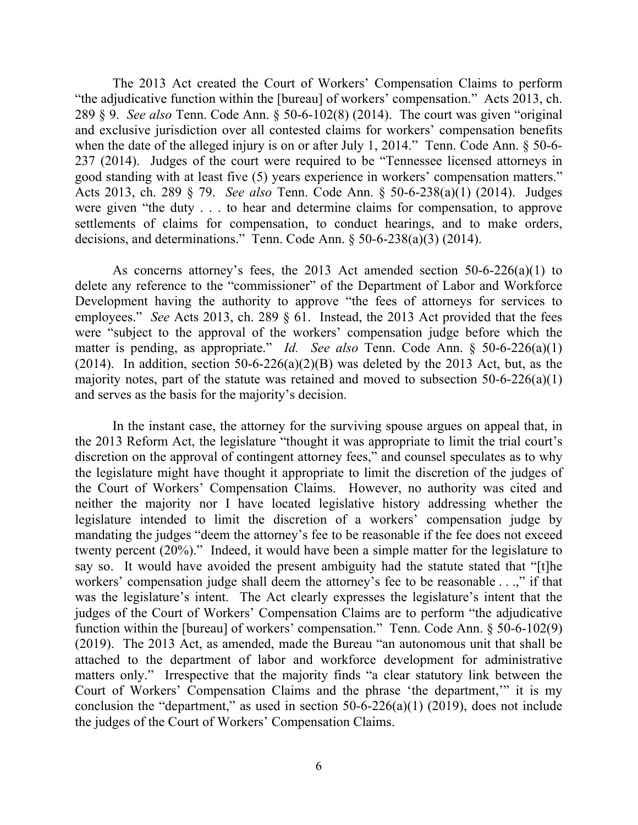The 2013 Act created the Court of Workers' Compensation Claims to perform "the adjudicative function within the [bureau] of workers' compensation." Acts 2013, ch. 289 § 9. *See also* Tenn. Code Ann. § 50-6-102(8) (2014). The court was given "original and exclusive jurisdiction over all contested claims for workers' compensation benefits when the date of the alleged injury is on or after July 1, 2014." Tenn. Code Ann. § 50-6-237 (2014). Judges of the court were required to be "Tennessee licensed attorneys in good standing with at least five (5) years experience in workers' compensation matters." Acts 2013, ch. 289 § 79. *See also* Tenn. Code Ann. § 50-6-238(a)(1) (2014). Judges were given "the duty . . . to hear and determine claims for compensation, to approve settlements of claims for compensation, to conduct hearings, and to make orders, decisions, and determinations." Tenn. Code Ann. § 50-6-238(a)(3) (2014).

As concerns attorney's fees, the 2013 Act amended section 50-6-226(a)(1) to delete any reference to the "commissioner" of the Department of Labor and Workforce Development having the authority to approve "the fees of attorneys for services to employees." *See* Acts 2013, ch. 289 § 61. Instead, the 2013 Act provided that the fees were "subject to the approval of the workers' compensation judge before which the matter is pending, as appropriate." *Id. See also* Tenn. Code Ann. § 50-6-226(a)(1) (2014). In addition, section 50-6-226(a)(2)(B) was deleted by the 2013 Act, but, as the majority notes, part of the statute was retained and moved to subsection  $50-6-226(a)(1)$ and serves as the basis for the majority's decision.

In the instant case, the attorney for the surviving spouse argues on appeal that, in the 2013 Reform Act, the legislature "thought it was appropriate to limit the trial court's discretion on the approval of contingent attorney fees," and counsel speculates as to why the legislature might have thought it appropriate to limit the discretion of the judges of the Court of Workers' Compensation Claims. However, no authority was cited and neither the majority nor I have located legislative history addressing whether the legislature intended to limit the discretion of a workers' compensation judge by mandating the judges "deem the attorney's fee to be reasonable if the fee does not exceed twenty percent (20%)." Indeed, it would have been a simple matter for the legislature to say so. It would have avoided the present ambiguity had the statute stated that "[t]he workers' compensation judge shall deem the attorney's fee to be reasonable . . .," if that was the legislature's intent. The Act clearly expresses the legislature's intent that the judges of the Court of Workers' Compensation Claims are to perform "the adjudicative function within the [bureau] of workers' compensation." Tenn. Code Ann. § 50-6-102(9) (2019). The 2013 Act, as amended, made the Bureau "an autonomous unit that shall be attached to the department of labor and workforce development for administrative matters only." Irrespective that the majority finds "a clear statutory link between the Court of Workers' Compensation Claims and the phrase 'the department,'" it is my conclusion the "department," as used in section  $50-6-226(a)(1)$  (2019), does not include the judges of the Court of Workers' Compensation Claims.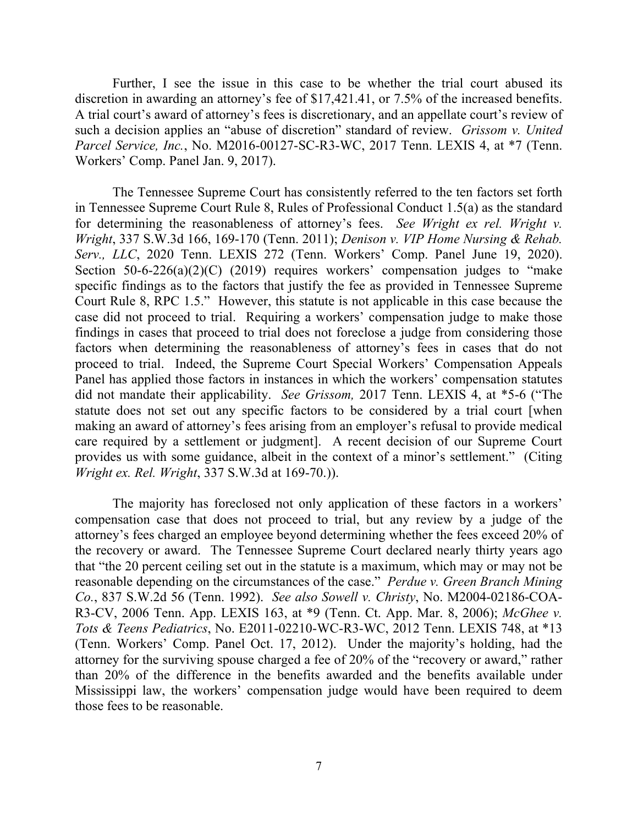Further, I see the issue in this case to be whether the trial court abused its discretion in awarding an attorney's fee of \$17,421.41, or 7.5% of the increased benefits. A trial court's award of attorney's fees is discretionary, and an appellate court's review of such a decision applies an "abuse of discretion" standard of review. *Grissom v. United Parcel Service, Inc.*, No. M2016-00127-SC-R3-WC, 2017 Tenn. LEXIS 4, at \*7 (Tenn. Workers' Comp. Panel Jan. 9, 2017).

The Tennessee Supreme Court has consistently referred to the ten factors set forth in Tennessee Supreme Court Rule 8, Rules of Professional Conduct 1.5(a) as the standard for determining the reasonableness of attorney's fees. *See Wright ex rel. Wright v. Wright*, 337 S.W.3d 166, 169-170 (Tenn. 2011); *Denison v. VIP Home Nursing & Rehab. Serv., LLC*, 2020 Tenn. LEXIS 272 (Tenn. Workers' Comp. Panel June 19, 2020). Section  $50-6-226(a)(2)(C)$  (2019) requires workers' compensation judges to "make specific findings as to the factors that justify the fee as provided in Tennessee Supreme Court Rule 8, RPC 1.5." However, this statute is not applicable in this case because the case did not proceed to trial. Requiring a workers' compensation judge to make those findings in cases that proceed to trial does not foreclose a judge from considering those factors when determining the reasonableness of attorney's fees in cases that do not proceed to trial. Indeed, the Supreme Court Special Workers' Compensation Appeals Panel has applied those factors in instances in which the workers' compensation statutes did not mandate their applicability. *See Grissom,* 2017 Tenn. LEXIS 4, at \*5-6 ("The statute does not set out any specific factors to be considered by a trial court [when making an award of attorney's fees arising from an employer's refusal to provide medical care required by a settlement or judgment]. A recent decision of our Supreme Court provides us with some guidance, albeit in the context of a minor's settlement." (Citing *Wright ex. Rel. Wright*, 337 S.W.3d at 169-70.)).

The majority has foreclosed not only application of these factors in a workers' compensation case that does not proceed to trial, but any review by a judge of the attorney's fees charged an employee beyond determining whether the fees exceed 20% of the recovery or award. The Tennessee Supreme Court declared nearly thirty years ago that "the 20 percent ceiling set out in the statute is a maximum, which may or may not be reasonable depending on the circumstances of the case." *Perdue v. Green Branch Mining Co.*, 837 S.W.2d 56 (Tenn. 1992). *See also Sowell v. Christy*, No. M2004-02186-COA-R3-CV, 2006 Tenn. App. LEXIS 163, at \*9 (Tenn. Ct. App. Mar. 8, 2006); *McGhee v. Tots & Teens Pediatrics*, No. E2011-02210-WC-R3-WC, 2012 Tenn. LEXIS 748, at \*13 (Tenn. Workers' Comp. Panel Oct. 17, 2012). Under the majority's holding, had the attorney for the surviving spouse charged a fee of 20% of the "recovery or award," rather than 20% of the difference in the benefits awarded and the benefits available under Mississippi law, the workers' compensation judge would have been required to deem those fees to be reasonable.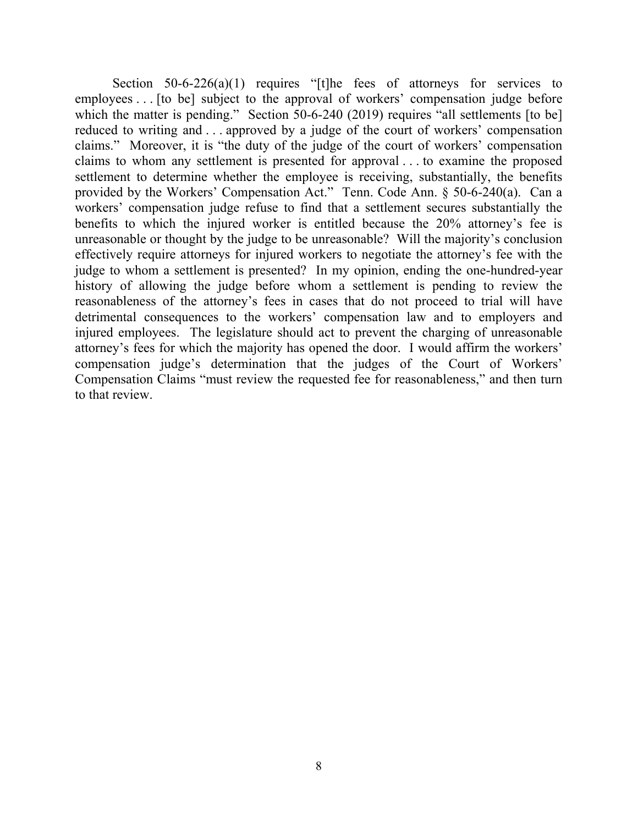Section  $50-6-226(a)(1)$  requires "[t]he fees of attorneys for services to employees . . . [to be] subject to the approval of workers' compensation judge before which the matter is pending." Section 50-6-240 (2019) requires "all settlements [to be] reduced to writing and . . . approved by a judge of the court of workers' compensation claims." Moreover, it is "the duty of the judge of the court of workers' compensation claims to whom any settlement is presented for approval . . . to examine the proposed settlement to determine whether the employee is receiving, substantially, the benefits provided by the Workers' Compensation Act." Tenn. Code Ann. § 50-6-240(a). Can a workers' compensation judge refuse to find that a settlement secures substantially the benefits to which the injured worker is entitled because the 20% attorney's fee is unreasonable or thought by the judge to be unreasonable? Will the majority's conclusion effectively require attorneys for injured workers to negotiate the attorney's fee with the judge to whom a settlement is presented? In my opinion, ending the one-hundred-year history of allowing the judge before whom a settlement is pending to review the reasonableness of the attorney's fees in cases that do not proceed to trial will have detrimental consequences to the workers' compensation law and to employers and injured employees. The legislature should act to prevent the charging of unreasonable attorney's fees for which the majority has opened the door. I would affirm the workers' compensation judge's determination that the judges of the Court of Workers' Compensation Claims "must review the requested fee for reasonableness," and then turn to that review.